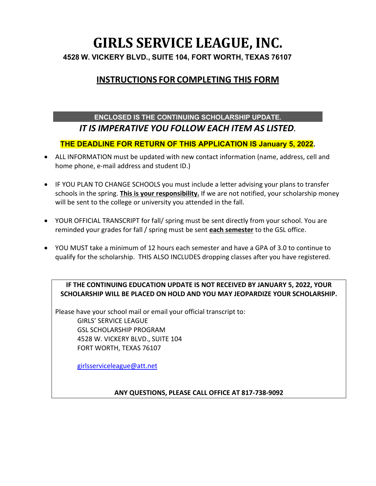# **GIRLS SERVICE LEAGUE, INC. 4528 W. VICKERY BLVD., SUITE 104, FORT WORTH, TEXAS 76107**

# **INSTRUCTIONS FOR COMPLETING THIS FORM**

## **ENCLOSED IS THE CONTINUING SCHOLARSHIP UPDATE.**  *IT IS IMPERATIVE YOU FOLLOW EACH ITEM AS LISTED.*

## **THE DEADLINE FOR RETURN OF THIS APPLICATION IS January 5, 2022.**

- ALL INFORMATION must be updated with new contact information (name, address, cell and home phone, e-mail address and student ID.)
- IF YOU PLAN TO CHANGE SCHOOLS you must include a letter advising your plans to transfer schools in the spring. **This is your responsibility.** If we are not notified, your scholarship money will be sent to the college or university you attended in the fall.
- YOUR OFFICIAL TRANSCRIPT for fall/ spring must be sent directly from your school. You are reminded your grades for fall / spring must be sent **each semester** to the GSL office.
- YOU MUST take a minimum of 12 hours each semester and have a GPA of 3.0 to continue to qualify for the scholarship. THIS ALSO INCLUDES dropping classes after you have registered.

### **IF THE CONTINUING EDUCATION UPDATE IS NOT RECEIVED BY JANUARY 5, 2022, YOUR SCHOLARSHIP WILL BE PLACED ON HOLD AND YOU MAY JEOPARDIZE YOUR SCHOLARSHIP.**

Please have your school mail or email your official transcript to: GIRLS' SERVICE LEAGUE GSL SCHOLARSHIP PROGRAM 4528 W. VICKERY BLVD., SUITE 104 FORT WORTH, TEXAS 76107

[girlsserviceleague@att.net](mailto:girlsserviceleague@att.net)

#### **ANY QUESTIONS, PLEASE CALL OFFICE AT 817-738-9092**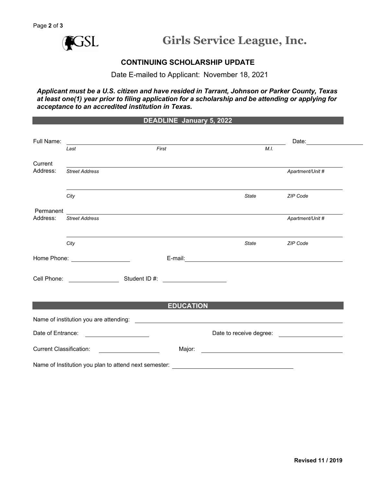

#### **CONTINUING SCHOLARSHIP UPDATE**

Date E-mailed to Applicant: November 18, 2021

*Applicant must be a U.S. citizen and have resided in Tarrant, Johnson or Parker County, Texas at least one(1) year prior to filing application for a scholarship and be attending or applying for acceptance to an accredited institution in Texas.*

#### **DEADLINE January 5, 2022**

| Full Name:                     |                                                                                                                      |       |                                                                                                                      |                                                |      | Date:                                            |  |
|--------------------------------|----------------------------------------------------------------------------------------------------------------------|-------|----------------------------------------------------------------------------------------------------------------------|------------------------------------------------|------|--------------------------------------------------|--|
|                                | Last                                                                                                                 | First |                                                                                                                      |                                                | M.I. |                                                  |  |
| Current<br>Address:            | <b>Street Address</b>                                                                                                |       |                                                                                                                      |                                                |      | Apartment/Unit #                                 |  |
|                                |                                                                                                                      |       |                                                                                                                      |                                                |      |                                                  |  |
|                                | City                                                                                                                 |       |                                                                                                                      | <b>State</b>                                   |      | ZIP Code                                         |  |
| Permanent                      |                                                                                                                      |       |                                                                                                                      |                                                |      |                                                  |  |
| Address:                       | <b>Street Address</b>                                                                                                |       |                                                                                                                      |                                                |      | Apartment/Unit #                                 |  |
|                                | City                                                                                                                 |       |                                                                                                                      | <b>State</b>                                   |      | ZIP Code                                         |  |
|                                | Home Phone: <u>____________________</u>                                                                              |       |                                                                                                                      |                                                |      |                                                  |  |
|                                |                                                                                                                      |       | <u> 1980 - Jan Samuel Barbara, politik eta politik eta politik eta politik eta politik eta politik eta politik e</u> |                                                |      |                                                  |  |
|                                |                                                                                                                      |       | <b>EDUCATION</b>                                                                                                     |                                                |      |                                                  |  |
|                                |                                                                                                                      |       |                                                                                                                      |                                                |      |                                                  |  |
|                                |                                                                                                                      |       |                                                                                                                      |                                                |      |                                                  |  |
| Date of Entrance:              | <u> 1980 - Jan Samuel Barbara, politik eta provincia eta provincia eta provincia eta provincia eta provincia eta</u> |       |                                                                                                                      |                                                |      | Date to receive degree: ________________________ |  |
| <b>Current Classification:</b> |                                                                                                                      |       | Major:                                                                                                               |                                                |      |                                                  |  |
|                                | Name of Institution you plan to attend next semester:                                                                |       |                                                                                                                      | <u> 1989 - Johann Stein, marwolaethau a bh</u> |      |                                                  |  |